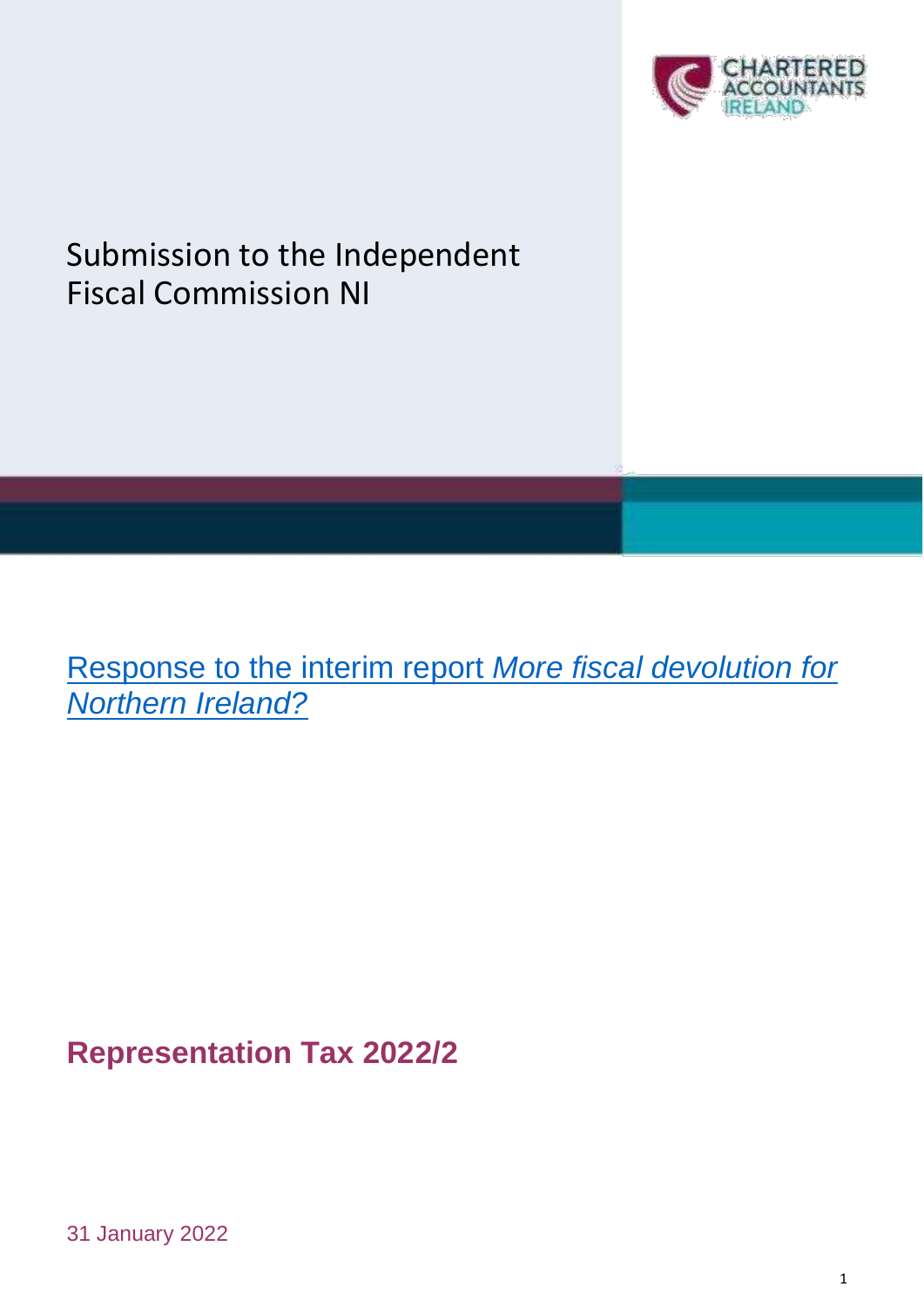

# Submission to the Independent Fiscal Commission NI

[Response to the i](https://www.fiscalcommissionni.org/files/fiscalcommissionni/documents/2021-12/fcni-more-fiscal-devolution-for-ni-interim-report-accessible_1.pdf)nterim report *More fiscal devolution for Northern Ireland?*

**Representation Tax 2022/2**

31 January 2022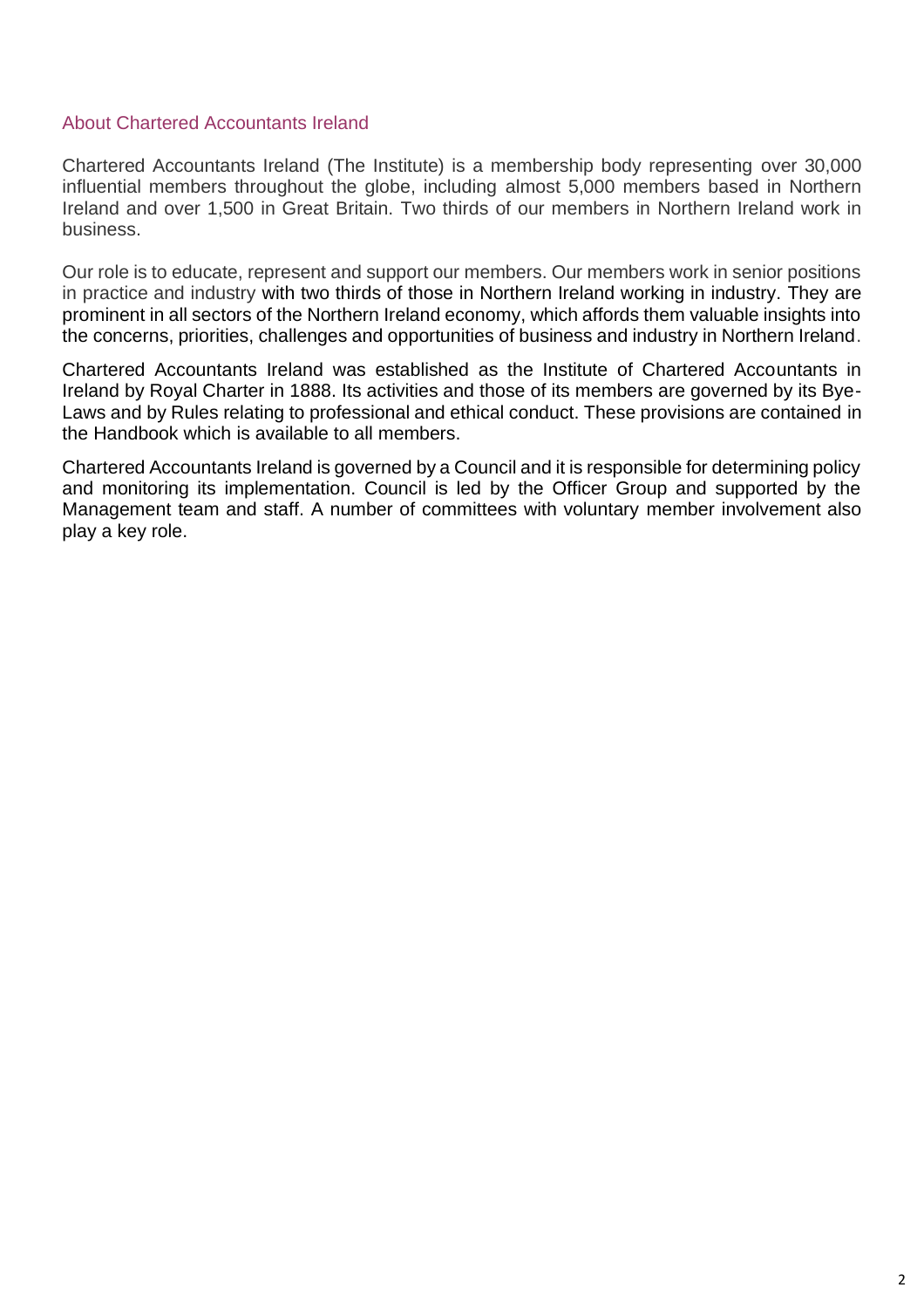### About Chartered Accountants Ireland

Chartered Accountants Ireland (The Institute) is a membership body representing over 30,000 influential members throughout the globe, including almost 5,000 members based in Northern Ireland and over 1,500 in Great Britain. Two thirds of our members in Northern Ireland work in business.

Our role is to educate, represent and support our members. Our members work in senior positions in practice and industry with two thirds of those in Northern Ireland working in industry. They are prominent in all sectors of the Northern Ireland economy, which affords them valuable insights into the concerns, priorities, challenges and opportunities of business and industry in Northern Ireland.

Chartered Accountants Ireland was established as the Institute of Chartered Accountants in Ireland by Royal Charter in 1888. Its activities and those of its members are governed by its Bye-Laws and by Rules relating to professional and ethical conduct. These provisions are contained in the Handbook which is available to all members.

Chartered Accountants Ireland is governed by a Council and it is responsible for determining policy and monitoring its implementation. Council is led by the Officer Group and supported by the Management team and staff. A number of committees with voluntary member involvement also play a key role.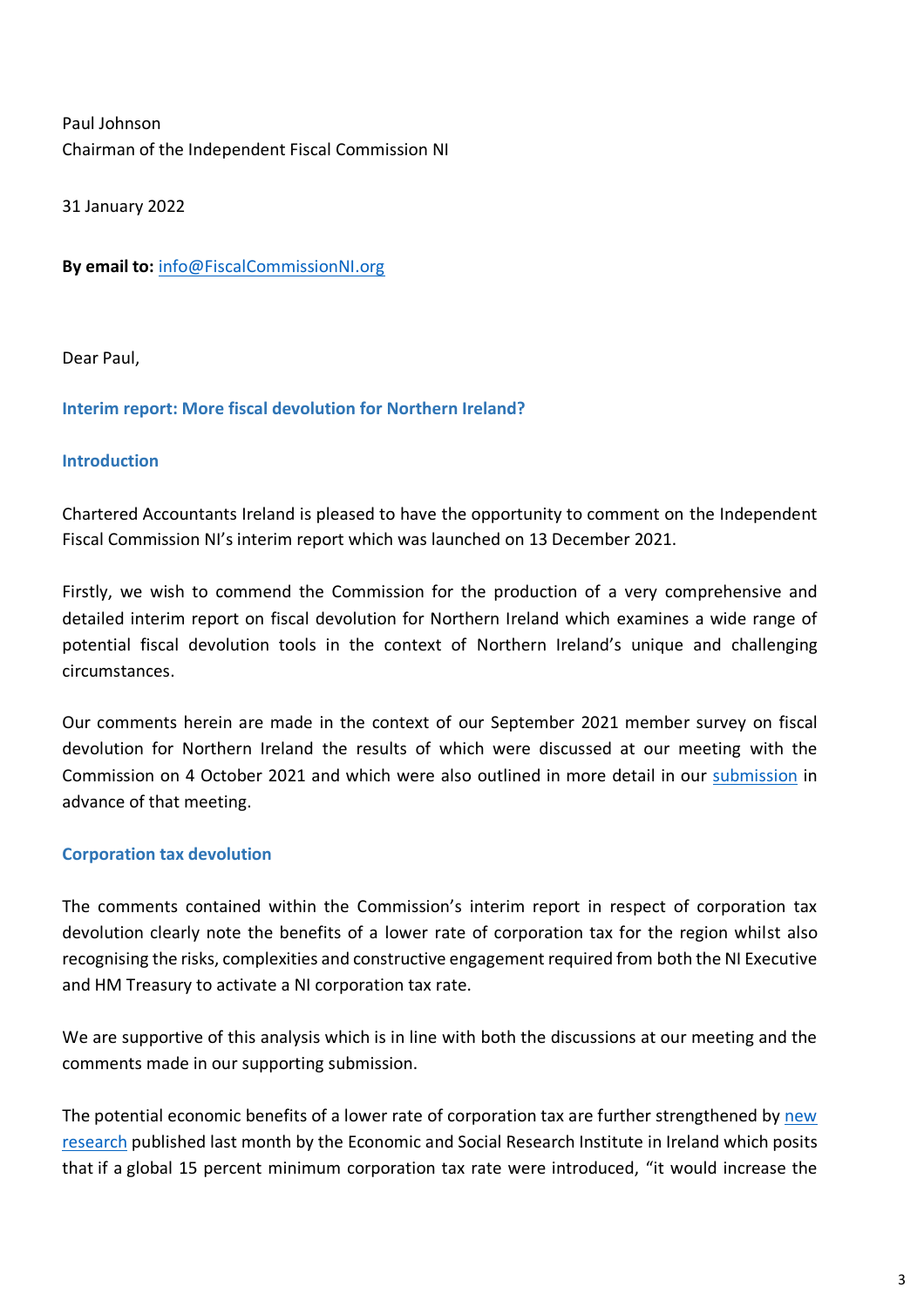Paul Johnson Chairman of the Independent Fiscal Commission NI

31 January 2022

**By email to:** [info@FiscalCommissionNI.org](mailto:info@FiscalCommissionNI.org)

Dear Paul,

#### **Interim report: More fiscal devolution for Northern Ireland?**

#### **Introduction**

Chartered Accountants Ireland is pleased to have the opportunity to comment on the Independent Fiscal Commission NI's interim report which was launched on 13 December 2021.

Firstly, we wish to commend the Commission for the production of a very comprehensive and detailed interim report on fiscal devolution for Northern Ireland which examines a wide range of potential fiscal devolution tools in the context of Northern Ireland's unique and challenging circumstances.

Our comments herein are made in the context of our September 2021 member survey on fiscal devolution for Northern Ireland the results of which were discussed at our meeting with the Commission on 4 October 2021 and which were also outlined in more detail in our [submission](https://www.charteredaccountants.ie/docs/default-source/tax/tax-representations/2021-22-chartered-accountants-ireland-submission-to-the-fiscal-commission.pdf?sfvrsn=debdb77c_9) in advance of that meeting.

#### **Corporation tax devolution**

The comments contained within the Commission's interim report in respect of corporation tax devolution clearly note the benefits of a lower rate of corporation tax for the region whilst also recognising the risks, complexities and constructive engagement required from both the NI Executive and HM Treasury to activate a NI corporation tax rate.

We are supportive of this analysis which is in line with both the discussions at our meeting and the comments made in our supporting submission.

The potential economic benefits of a lower rate of corporation tax are further strengthened by [new](https://www.esri.ie/system/files/publications/RS133_0.pdf)  [research](https://www.esri.ie/system/files/publications/RS133_0.pdf) published last month by the Economic and Social Research Institute in Ireland which posits that if a global 15 percent minimum corporation tax rate were introduced, "it would increase the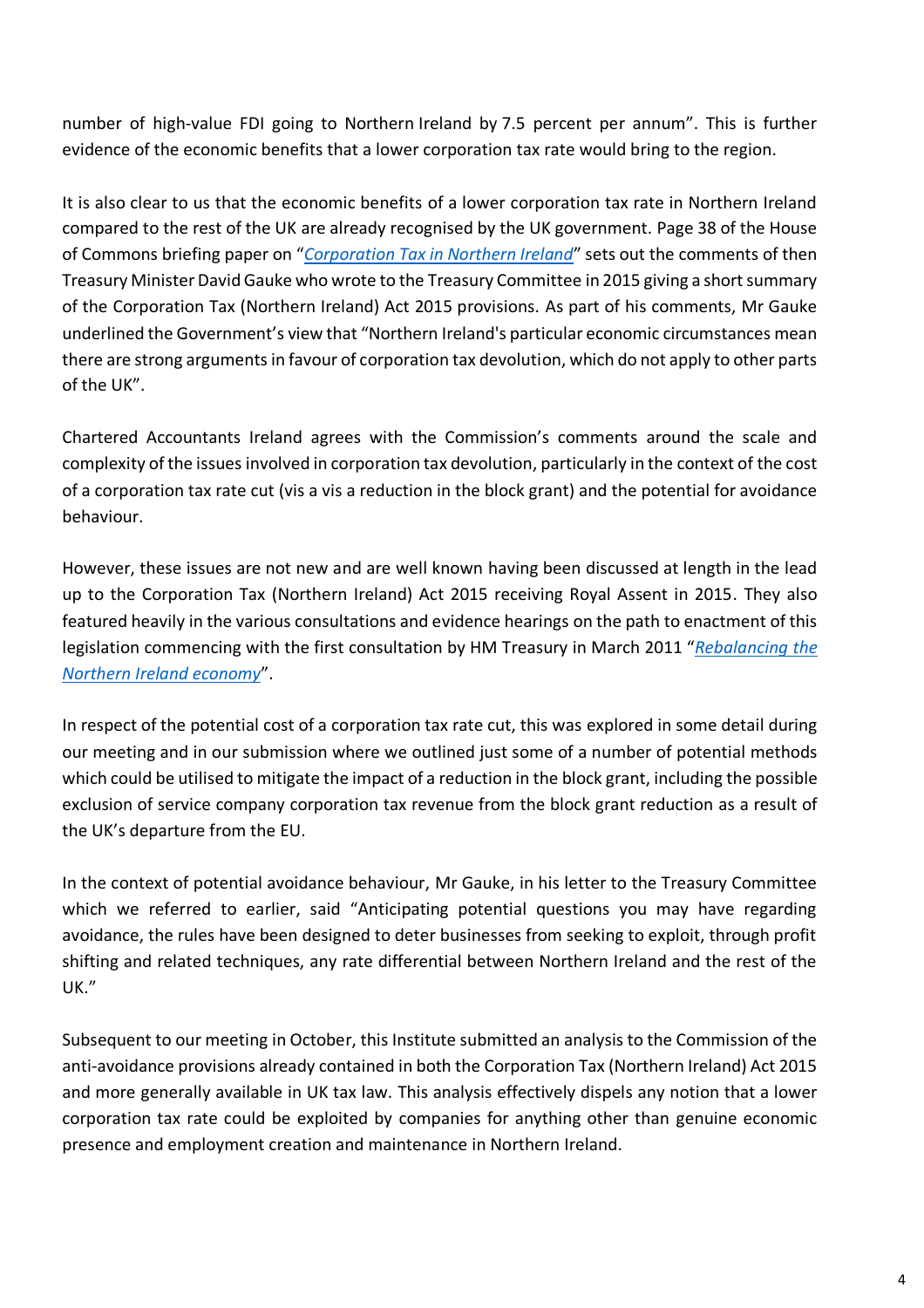number of high-value FDI going to Northern Ireland by 7.5 percent per annum". This is further evidence of the economic benefits that a lower corporation tax rate would bring to the region.

It is also clear to us that the economic benefits of a lower corporation tax rate in Northern Ireland compared to the rest of the UK are already recognised by the UK government. Page 38 of the House of Commons briefing paper on "*[Corporation Tax in Northern Ireland](https://researchbriefings.files.parliament.uk/documents/SN07078/SN07078.pdf)*" sets out the comments of then Treasury Minister David Gauke who wrote to the Treasury Committee in 2015 giving a short summary of the Corporation Tax (Northern Ireland) Act 2015 provisions. As part of his comments, Mr Gauke underlined the Government's view that "Northern Ireland's particular economic circumstances mean there are strong arguments in favour of corporation tax devolution, which do not apply to other parts of the UK".

Chartered Accountants Ireland agrees with the Commission's comments around the scale and complexity of the issues involved in corporation tax devolution, particularly in the context of the cost of a corporation tax rate cut (vis a vis a reduction in the block grant) and the potential for avoidance behaviour.

However, these issues are not new and are well known having been discussed at length in the lead up to the Corporation Tax (Northern Ireland) Act 2015 receiving Royal Assent in 2015. They also featured heavily in the various consultations and evidence hearings on the path to enactment of this legislation commencing with the first consultation by HM Treasury in March 2011 "*[Rebalancing](https://assets.publishing.service.gov.uk/government/uploads/system/uploads/attachment_data/file/81554/rebalancing_the_northern_ireland_economy_consultation.pdf) the [Northern Ireland economy](https://assets.publishing.service.gov.uk/government/uploads/system/uploads/attachment_data/file/81554/rebalancing_the_northern_ireland_economy_consultation.pdf)*".

In respect of the potential cost of a corporation tax rate cut, this was explored in some detail during our meeting and in our submission where we outlined just some of a number of potential methods which could be utilised to mitigate the impact of a reduction in the block grant, including the possible exclusion of service company corporation tax revenue from the block grant reduction as a result of the UK's departure from the EU.

In the context of potential avoidance behaviour, Mr Gauke, in his letter to the Treasury Committee which we referred to earlier, said "Anticipating potential questions you may have regarding avoidance, the rules have been designed to deter businesses from seeking to exploit, through profit shifting and related techniques, any rate differential between Northern Ireland and the rest of the UK."

Subsequent to our meeting in October, this Institute submitted an analysis to the Commission of the anti-avoidance provisions already contained in both the Corporation Tax (Northern Ireland) Act 2015 and more generally available in UK tax law. This analysis effectively dispels any notion that a lower corporation tax rate could be exploited by companies for anything other than genuine economic presence and employment creation and maintenance in Northern Ireland.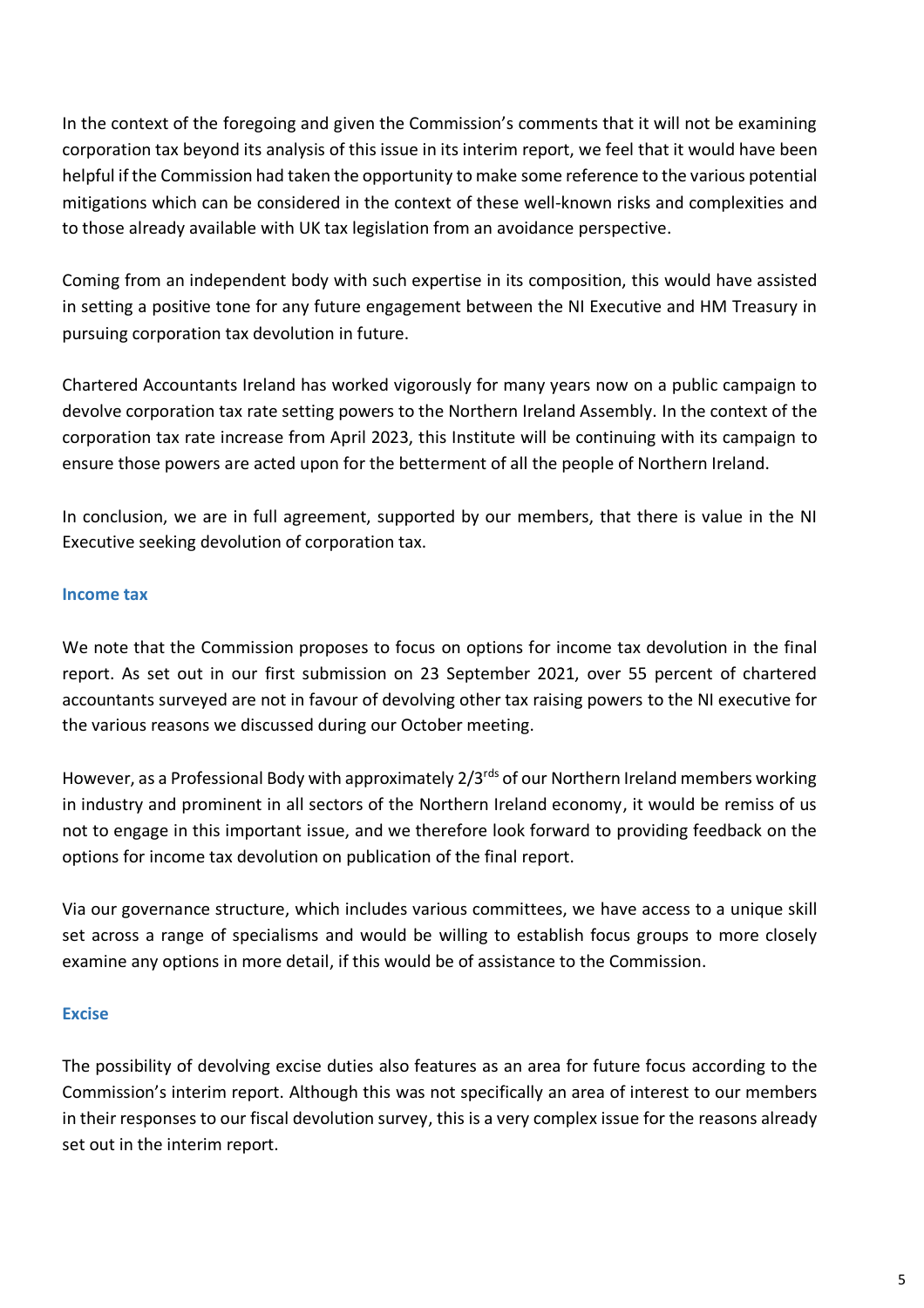In the context of the foregoing and given the Commission's comments that it will not be examining corporation tax beyond its analysis of this issue in its interim report, we feel that it would have been helpful if the Commission had taken the opportunity to make some reference to the various potential mitigations which can be considered in the context of these well-known risks and complexities and to those already available with UK tax legislation from an avoidance perspective.

Coming from an independent body with such expertise in its composition, this would have assisted in setting a positive tone for any future engagement between the NI Executive and HM Treasury in pursuing corporation tax devolution in future.

Chartered Accountants Ireland has worked vigorously for many years now on a public campaign to devolve corporation tax rate setting powers to the Northern Ireland Assembly. In the context of the corporation tax rate increase from April 2023, this Institute will be continuing with its campaign to ensure those powers are acted upon for the betterment of all the people of Northern Ireland.

In conclusion, we are in full agreement, supported by our members, that there is value in the NI Executive seeking devolution of corporation tax.

## **Income tax**

We note that the Commission proposes to focus on options for income tax devolution in the final report. As set out in our first submission on 23 September 2021, over 55 percent of chartered accountants surveyed are not in favour of devolving other tax raising powers to the NI executive for the various reasons we discussed during our October meeting.

However, as a Professional Body with approximately 2/3rds of our Northern Ireland members working in industry and prominent in all sectors of the Northern Ireland economy, it would be remiss of us not to engage in this important issue, and we therefore look forward to providing feedback on the options for income tax devolution on publication of the final report.

Via our governance structure, which includes various committees, we have access to a unique skill set across a range of specialisms and would be willing to establish focus groups to more closely examine any options in more detail, if this would be of assistance to the Commission.

#### **Excise**

The possibility of devolving excise duties also features as an area for future focus according to the Commission's interim report. Although this was not specifically an area of interest to our members in their responses to our fiscal devolution survey, this is a very complex issue for the reasons already set out in the interim report.